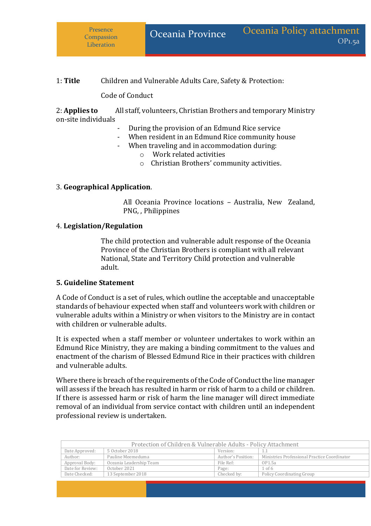## 1: **Title** Children and Vulnerable Adults Care, Safety & Protection:

Code of Conduct

2: **Applies to** All staff, volunteers, Christian Brothers and temporary Ministry on-site individuals

- During the provision of an Edmund Rice service
- When resident in an Edmund Rice community house
- When traveling and in accommodation during:
	- o Work related activities
	- o Christian Brothers' community activities.

#### 3. **Geographical Application**.

All Oceania Province locations – Australia, New Zealand, PNG, , Philippines

#### 4. **Legislation/Regulation**

The child protection and vulnerable adult response of the Oceania Province of the Christian Brothers is compliant with all relevant National, State and Territory Child protection and vulnerable adult.

#### **5. Guideline Statement**

A Code of Conduct is a set of rules, which outline the acceptable and unacceptable standards of behaviour expected when staff and volunteers work with children or vulnerable adults within a Ministry or when visitors to the Ministry are in contact with children or vulnerable adults.

It is expected when a staff member or volunteer undertakes to work within an Edmund Rice Ministry, they are making a binding commitment to the values and enactment of the charism of Blessed Edmund Rice in their practices with children and vulnerable adults.

Where there is breach of the requirements of the Code of Conduct the line manager will assess if the breach has resulted in harm or risk of harm to a child or children. If there is assessed harm or risk of harm the line manager will direct immediate removal of an individual from service contact with children until an independent professional review is undertaken.

|                  |                         |                    | Protection of Children & Vulnerable Adults - Policy Attachment |
|------------------|-------------------------|--------------------|----------------------------------------------------------------|
| Date Approved:   | 5 October 2018          | Version:           | -1.1                                                           |
| Author:          | Pauline Meemeduma       | Author's Position: | Ministries Professional Practice Coordinator                   |
| Approval Body:   | Oceania Leadership Team | File Ref:          | OP1.5a                                                         |
| Date for Review: | October 2021            | Page:              | $1$ of 6                                                       |
| Date Checked:    | 13 September 2018       | Checked by:        | Policy Coordinating Group                                      |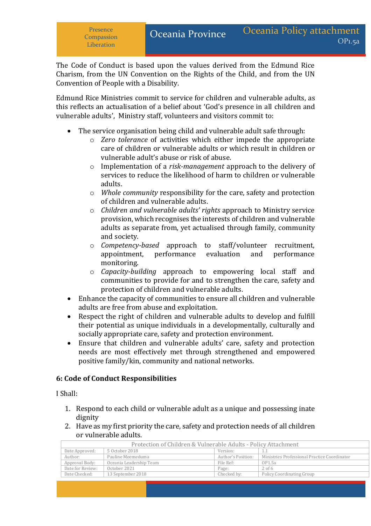The Code of Conduct is based upon the values derived from the Edmund Rice Charism, from the UN Convention on the Rights of the Child, and from the UN Convention of People with a Disability.

Edmund Rice Ministries commit to service for children and vulnerable adults, as this reflects an actualisation of a belief about 'God's presence in all children and vulnerable adults', Ministry staff, volunteers and visitors commit to:

- The service organisation being child and vulnerable adult safe through:
	- o *Zero tolerance* of activities which either impede the appropriate care of children or vulnerable adults or which result in children or vulnerable adult's abuse or risk of abuse.
	- o Implementation of a *risk-management* approach to the delivery of services to reduce the likelihood of harm to children or vulnerable adults.
	- o *Whole community* responsibility for the care, safety and protection of children and vulnerable adults.
	- o *Children and vulnerable adults' rights* approach to Ministry service provision, which recognises the interests of children and vulnerable adults as separate from, yet actualised through family, community and society.
	- o *Competency-based* approach to staff/volunteer recruitment, appointment, performance evaluation and performance monitoring.
	- o *Capacity-building* approach to empowering local staff and communities to provide for and to strengthen the care, safety and protection of children and vulnerable adults.
- Enhance the capacity of communities to ensure all children and vulnerable adults are free from abuse and exploitation.
- Respect the right of children and vulnerable adults to develop and fulfill their potential as unique individuals in a developmentally, culturally and socially appropriate care, safety and protection environment.
- Ensure that children and vulnerable adults' care, safety and protection needs are most effectively met through strengthened and empowered positive family/kin, community and national networks.

### **6: Code of Conduct Responsibilities**

I Shall:

- 1. Respond to each child or vulnerable adult as a unique and possessing inate dignity
- 2. Have as my first priority the care, safety and protection needs of all children or vulnerable adults.

| Protection of Children & Vulnerable Adults - Policy Attachment |                         |                    |                                              |
|----------------------------------------------------------------|-------------------------|--------------------|----------------------------------------------|
| Date Approved:                                                 | 5 October 2018          | Version:           |                                              |
| Author:                                                        | Pauline Meemeduma       | Author's Position: | Ministries Professional Practice Coordinator |
| Approval Body:                                                 | Oceania Leadership Team | File Ref:          | OP1.5a                                       |
| Date for Review:                                               | October 2021            | Page:              | $2$ of 6                                     |
| Date Checked:                                                  | 13 September 2018       | Checked by:        | Policy Coordinating Group                    |
|                                                                |                         |                    |                                              |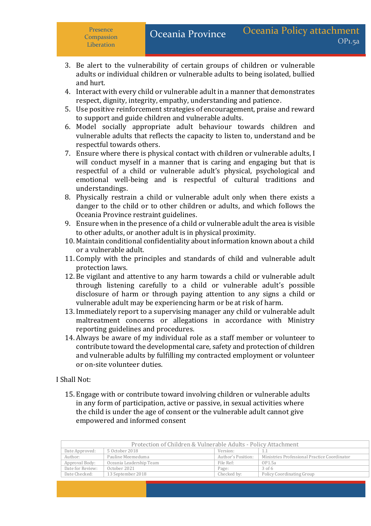**Compassion Liberation** 

- 3. Be alert to the vulnerability of certain groups of children or vulnerable adults or individual children or vulnerable adults to being isolated, bullied and hurt.
- 4. Interact with every child or vulnerable adult in a manner that demonstrates respect, dignity, integrity, empathy, understanding and patience.
- 5. Use positive reinforcement strategies of encouragement, praise and reward to support and guide children and vulnerable adults.
- 6. Model socially appropriate adult behaviour towards children and vulnerable adults that reflects the capacity to listen to, understand and be respectful towards others.
- 7. Ensure where there is physical contact with children or vulnerable adults, I will conduct myself in a manner that is caring and engaging but that is respectful of a child or vulnerable adult's physical, psychological and emotional well-being and is respectful of cultural traditions and understandings.
- 8. Physically restrain a child or vulnerable adult only when there exists a danger to the child or to other children or adults, and which follows the Oceania Province restraint guidelines.
- 9. Ensure when in the presence of a child or vulnerable adult the area is visible to other adults, or another adult is in physical proximity.
- 10. Maintain conditional confidentiality about information known about a child or a vulnerable adult.
- 11. Comply with the principles and standards of child and vulnerable adult protection laws.
- 12. Be vigilant and attentive to any harm towards a child or vulnerable adult through listening carefully to a child or vulnerable adult's possible disclosure of harm or through paying attention to any signs a child or vulnerable adult may be experiencing harm or be at risk of harm.
- 13. Immediately report to a supervising manager any child or vulnerable adult maltreatment concerns or allegations in accordance with Ministry reporting guidelines and procedures.
- 14. Always be aware of my individual role as a staff member or volunteer to contribute toward the developmental care, safety and protection of children and vulnerable adults by fulfilling my contracted employment or volunteer or on-site volunteer duties.

### I Shall Not:

15. Engage with or contribute toward involving children or vulnerable adults in any form of participation, active or passive, in sexual activities where the child is under the age of consent or the vulnerable adult cannot give empowered and informed consent

| Protection of Children & Vulnerable Adults - Policy Attachment |                         |                    |                                              |
|----------------------------------------------------------------|-------------------------|--------------------|----------------------------------------------|
| Date Approved:                                                 | 5 October 2018          | Version:           | 1.1                                          |
| Author:                                                        | Pauline Meemeduma       | Author's Position: | Ministries Professional Practice Coordinator |
| Approval Body:                                                 | Oceania Leadership Team | File Ref:          | OP1.5a                                       |
| Date for Review:                                               | October 2021            | Page:              | $3$ of 6                                     |
| Date Checked:                                                  | 13 September 2018       | Checked by:        | <b>Policy Coordinating Group</b>             |
|                                                                |                         |                    |                                              |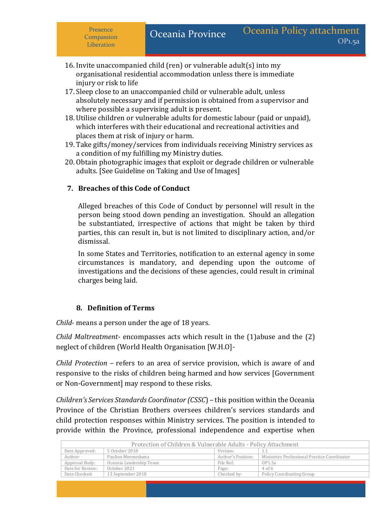**Compassion Liberation** 

- 16. Invite unaccompanied child (ren) or vulnerable adult(s) into my organisational residential accommodation unless there is immediate injury or risk to life
- 17.Sleep close to an unaccompanied child or vulnerable adult, unless absolutely necessary and if permission is obtained from a supervisor and where possible a supervising adult is present.
- 18. Utilise children or vulnerable adults for domestic labour (paid or unpaid), which interferes with their educational and recreational activities and places them at risk of injury or harm.
- 19. Take gifts/money/services from individuals receiving Ministry services as a condition of my fulfilling my Ministry duties.
- 20. Obtain photographic images that exploit or degrade children or vulnerable adults. [See Guideline on Taking and Use of Images]

# **7. Breaches of this Code of Conduct**

Alleged breaches of this Code of Conduct by personnel will result in the person being stood down pending an investigation. Should an allegation be substantiated, irrespective of actions that might be taken by third parties, this can result in, but is not limited to disciplinary action, and/or dismissal.

In some States and Territories, notification to an external agency in some circumstances is mandatory, and depending upon the outcome of investigations and the decisions of these agencies, could result in criminal charges being laid.

# **8. Definition of Terms**

*Child*- means a person under the age of 18 years.

*Child Maltreatment*- encompasses acts which result in the (1)abuse and the (2) neglect of children (World Health Organisation [W.H.O]-

*Child Protection –* refers to an area of service provision, which is aware of and responsive to the risks of children being harmed and how services [Government or Non-Government] may respond to these risks.

*Children's Services Standards Coordinator (CSSC*) – this position within the Oceania Province of the Christian Brothers oversees children's services standards and child protection responses within Ministry services. The position is intended to provide within the Province, professional independence and expertise when

| Protection of Children & Vulnerable Adults - Policy Attachment |                         |                    |                                              |
|----------------------------------------------------------------|-------------------------|--------------------|----------------------------------------------|
| Date Approved:                                                 | 5 October 2018          | Version:           | $1.1\,$                                      |
| Author:                                                        | Pauline Meemeduma       | Author's Position: | Ministries Professional Practice Coordinator |
| Approval Body:                                                 | Oceania Leadership Team | File Ref:          | OP1.5a                                       |
| Date for Review:                                               | October 2021            | Page:              | $4$ of 6                                     |
| Date Checked:                                                  | 13 September 2018       | Checked by:        | Policy Coordinating Group                    |
|                                                                |                         |                    |                                              |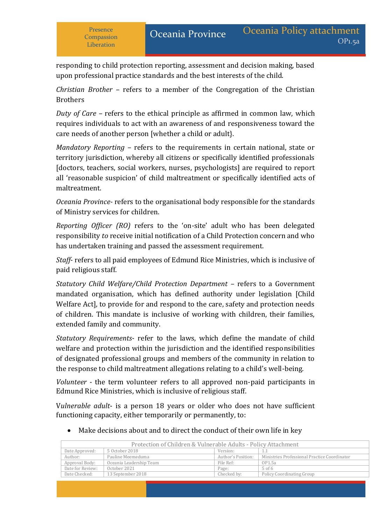OP1.5a

responding to child protection reporting, assessment and decision making, based upon professional practice standards and the best interests of the child.

*Christian Brother* – refers to a member of the Congregation of the Christian Brothers

*Duty of Care –* refers to the ethical principle as affirmed in common law, which requires individuals to act with an awareness of and responsiveness toward the care needs of another person [whether a child or adult}.

*Mandatory Reporting –* refers to the requirements in certain national, state or territory jurisdiction, whereby all citizens or specifically identified professionals [doctors, teachers, social workers, nurses, psychologists] are required to report all 'reasonable suspicion' of child maltreatment or specifically identified acts of maltreatment.

*Oceania Province-* refers to the organisational body responsible for the standards of Ministry services for children.

*Reporting Officer (RO)* refers to the 'on-site' adult who has been delegated responsibility *to* receive initial notification of a Child Protection concern and who has undertaken training and passed the assessment requirement.

*Staff*- refers to all paid employees of Edmund Rice Ministries, which is inclusive of paid religious staff.

*Statutory Child Welfare/Child Protection Department* – refers to a Government mandated organisation, which has defined authority under legislation [Child Welfare Act], to provide for and respond to the care, safety and protection needs of children. This mandate is inclusive of working with children, their families, extended family and community.

*Statutory Requirements*- refer to the laws, which define the mandate of child welfare and protection within the jurisdiction and the identified responsibilities of designated professional groups and members of the community in relation to the response to child maltreatment allegations relating to a child's well-being.

*Volunteer* - the term volunteer refers to all approved non-paid participants in Edmund Rice Ministries, which is inclusive of religious staff.

V*ulnerable adult*- is a person 18 years or older who does not have sufficient functioning capacity, either temporarily or permanently, to:

Protection of Children & Vulnerable Adults - Policy Attachment Date Approved: 5 October 2018 Version: 1.1 Author: Pauline Meemeduma Author's Position: Ministries Professional Practice Coordinator

Date Checked: 13 September 2018 Checked by: Policy Coordinating Group

Make decisions about and to direct the conduct of their own life in key

Approval Body: Oceania Leadership Team File Ref: 0P1.5a<br>Date for Review: October 2021 Page: 5 of 6

Date for Review: | October 2021